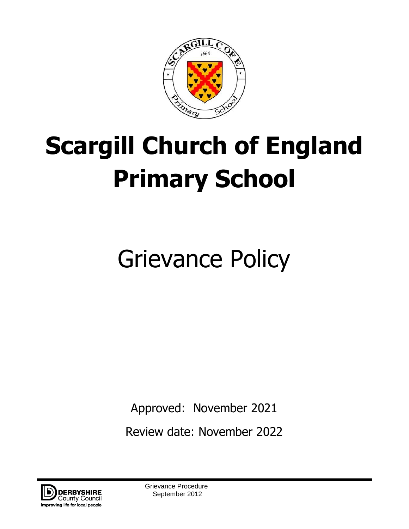

# **Scargill Church of England Primary School**

# Grievance Policy

Approved: November 2021

Review date: November 2022



Grievance Procedure September 2012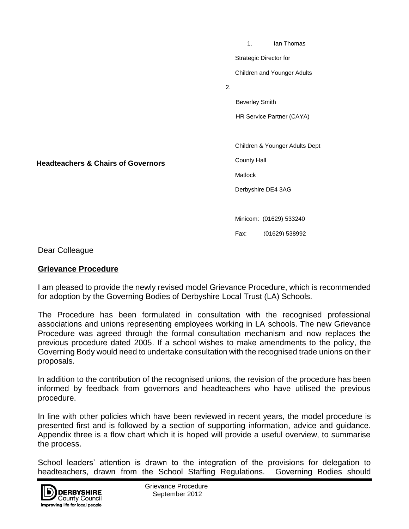1. Ian Thomas Strategic Director for Children and Younger Adults 2. Beverley Smith HR Service Partner (CAYA) Children & Younger Adults Dept County Hall **Matlock** Derbyshire DE4 3AG Minicom: (01629) 533240

Fax: (01629) 538992

Dear Colleague

#### **Grievance Procedure**

**Headteachers & Chairs of Governors**

I am pleased to provide the newly revised model Grievance Procedure, which is recommended Fam proceed to provide the newly revised meder one random recedure, which for adoption by the Governing Bodies of Derbyshire Local Trust (LA) Schools.

The Procedure has been formulated in consultation with the recognised professional associations and unions representing employees working in LA schools. The new Grievance Procedure was agreed through the formal consultation mechanism and now replaces the previous procedure dated 2005. If a school wishes to make amendments to the policy, the Governing Body would need to undertake consultation with the recognised trade unions on their proposals.

In addition to the contribution of the recognised unions, the revision of the procedure has been informed by feedback from governors and headteachers who have utilised the previous procedure.

In line with other policies which have been reviewed in recent years, the model procedure is presented first and is followed by a section of supporting information, advice and guidance. Appendix three is a flow chart which it is hoped will provide a useful overview, to summarise the process.

School leaders' attention is drawn to the integration of the provisions for delegation to headteachers, drawn from the School Staffing Regulations. Governing Bodies should

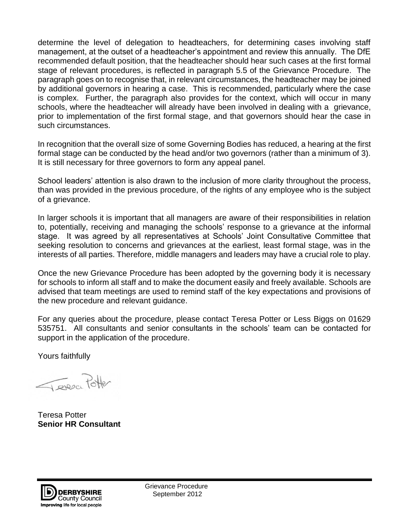determine the level of delegation to headteachers, for determining cases involving staff management, at the outset of a headteacher's appointment and review this annually. The DfE recommended default position, that the headteacher should hear such cases at the first formal stage of relevant procedures, is reflected in paragraph 5.5 of the Grievance Procedure. The paragraph goes on to recognise that, in relevant circumstances, the headteacher may be joined by additional governors in hearing a case. This is recommended, particularly where the case is complex. Further, the paragraph also provides for the context, which will occur in many schools, where the headteacher will already have been involved in dealing with a grievance, prior to implementation of the first formal stage, and that governors should hear the case in such circumstances.

In recognition that the overall size of some Governing Bodies has reduced, a hearing at the first formal stage can be conducted by the head and/or two governors (rather than a minimum of 3). It is still necessary for three governors to form any appeal panel.

School leaders' attention is also drawn to the inclusion of more clarity throughout the process, than was provided in the previous procedure, of the rights of any employee who is the subject of a grievance.

In larger schools it is important that all managers are aware of their responsibilities in relation to, potentially, receiving and managing the schools' response to a grievance at the informal stage. It was agreed by all representatives at Schools' Joint Consultative Committee that seeking resolution to concerns and grievances at the earliest, least formal stage, was in the interests of all parties. Therefore, middle managers and leaders may have a crucial role to play.

Once the new Grievance Procedure has been adopted by the governing body it is necessary for schools to inform all staff and to make the document easily and freely available. Schools are advised that team meetings are used to remind staff of the key expectations and provisions of the new procedure and relevant guidance.

For any queries about the procedure, please contact Teresa Potter or Less Biggs on 01629 535751. All consultants and senior consultants in the schools' team can be contacted for support in the application of the procedure.

Yours faithfully

Teresce Potter

Teresa Potter **Senior HR Consultant** 



Grievance Procedure September 2012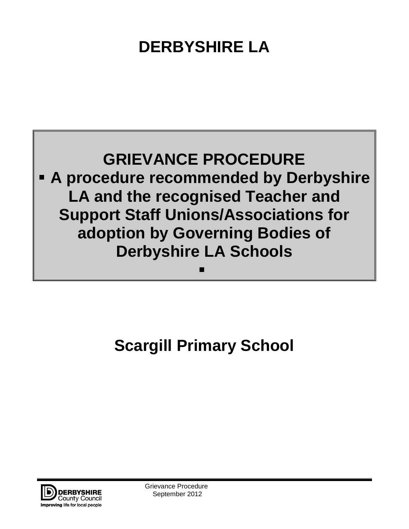## **DERBYSHIRE LA**



## **Scargill Primary School**



Grievance Procedure September 2012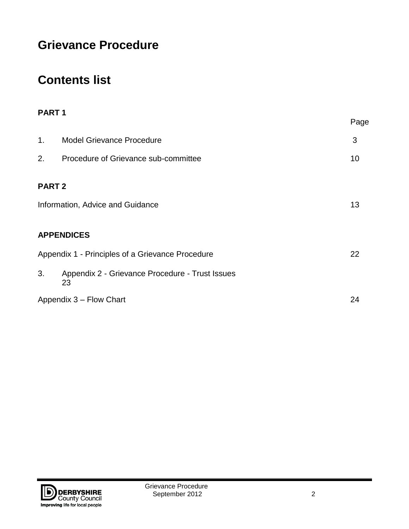### **Grievance Procedure**

### **Contents list**

| PART <sub>1</sub>                                |                                                       |      |
|--------------------------------------------------|-------------------------------------------------------|------|
|                                                  |                                                       | Page |
| 1.                                               | <b>Model Grievance Procedure</b>                      | 3    |
| 2.                                               | Procedure of Grievance sub-committee                  | 10   |
| <b>PART 2</b>                                    | Information, Advice and Guidance                      | 13   |
| <b>APPENDICES</b>                                |                                                       |      |
| Appendix 1 - Principles of a Grievance Procedure |                                                       | 22   |
| 3.                                               | Appendix 2 - Grievance Procedure - Trust Issues<br>23 |      |
| Appendix 3 - Flow Chart                          |                                                       | 24   |

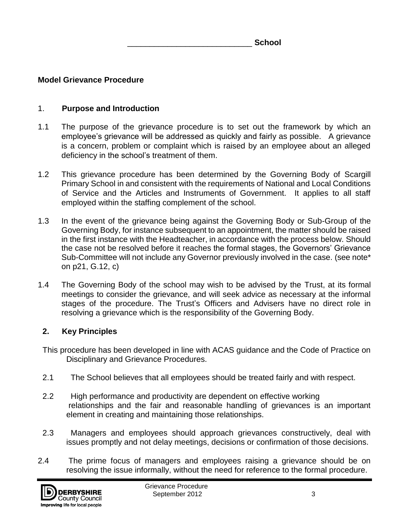\_\_\_\_\_\_\_\_\_\_\_\_\_\_\_\_\_\_\_\_\_\_\_\_\_\_\_\_ **School**

#### **Model Grievance Procedure**

#### 1. **Purpose and Introduction**

- 1.1 The purpose of the grievance procedure is to set out the framework by which an employee's grievance will be addressed as quickly and fairly as possible. A grievance is a concern, problem or complaint which is raised by an employee about an alleged deficiency in the school's treatment of them.
- 1.2 This grievance procedure has been determined by the Governing Body of Scargill Primary School in and consistent with the requirements of National and Local Conditions of Service and the Articles and Instruments of Government. It applies to all staff employed within the staffing complement of the school.
- 1.3 In the event of the grievance being against the Governing Body or Sub-Group of the Governing Body, for instance subsequent to an appointment, the matter should be raised in the first instance with the Headteacher, in accordance with the process below. Should the case not be resolved before it reaches the formal stages, the Governors' Grievance Sub-Committee will not include any Governor previously involved in the case. (see note\* on p21, G.12, c)
- 1.4 The Governing Body of the school may wish to be advised by the Trust, at its formal meetings to consider the grievance, and will seek advice as necessary at the informal stages of the procedure. The Trust's Officers and Advisers have no direct role in resolving a grievance which is the responsibility of the Governing Body.

#### **2. Key Principles**

- This procedure has been developed in line with ACAS guidance and the Code of Practice on Disciplinary and Grievance Procedures.
- 2.1 The School believes that all employees should be treated fairly and with respect.
- 2.2 High performance and productivity are dependent on effective working relationships and the fair and reasonable handling of grievances is an important element in creating and maintaining those relationships.
- 2.3 Managers and employees should approach grievances constructively, deal with issues promptly and not delay meetings, decisions or confirmation of those decisions.
- 2.4 The prime focus of managers and employees raising a grievance should be on resolving the issue informally, without the need for reference to the formal procedure.

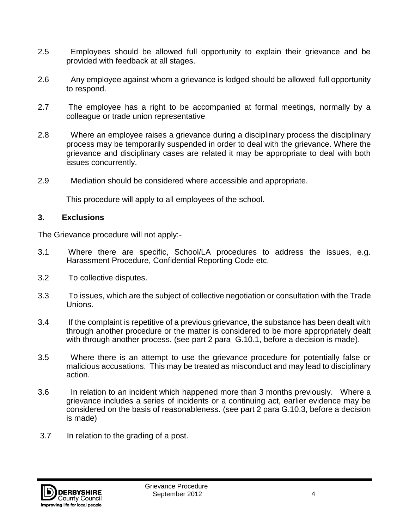- 2.5 Employees should be allowed full opportunity to explain their grievance and be provided with feedback at all stages.
- 2.6 Any employee against whom a grievance is lodged should be allowed full opportunity to respond.
- 2.7 The employee has a right to be accompanied at formal meetings, normally by a colleague or trade union representative
- 2.8 Where an employee raises a grievance during a disciplinary process the disciplinary process may be temporarily suspended in order to deal with the grievance. Where the grievance and disciplinary cases are related it may be appropriate to deal with both issues concurrently.
- 2.9 Mediation should be considered where accessible and appropriate.

This procedure will apply to all employees of the school.

#### **3. Exclusions**

The Grievance procedure will not apply:-

- 3.1 Where there are specific, School/LA procedures to address the issues, e.g. Harassment Procedure, Confidential Reporting Code etc.
- 3.2 To collective disputes.
- 3.3 To issues, which are the subject of collective negotiation or consultation with the Trade Unions.
- 3.4 If the complaint is repetitive of a previous grievance, the substance has been dealt with through another procedure or the matter is considered to be more appropriately dealt with through another process. (see part 2 para G.10.1, before a decision is made).
- 3.5 Where there is an attempt to use the grievance procedure for potentially false or malicious accusations. This may be treated as misconduct and may lead to disciplinary action.
- 3.6 In relation to an incident which happened more than 3 months previously. Where a grievance includes a series of incidents or a continuing act, earlier evidence may be considered on the basis of reasonableness. (see part 2 para G.10.3, before a decision is made)
- 3.7 In relation to the grading of a post.

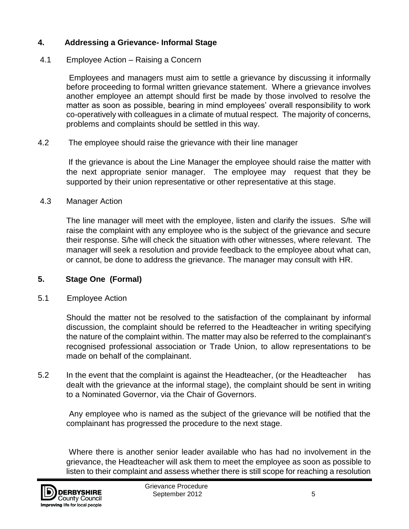#### **4. Addressing a Grievance- Informal Stage**

#### 4.1 Employee Action – Raising a Concern

 Employees and managers must aim to settle a grievance by discussing it informally before proceeding to formal written grievance statement. Where a grievance involves another employee an attempt should first be made by those involved to resolve the matter as soon as possible, bearing in mind employees' overall responsibility to work co-operatively with colleagues in a climate of mutual respect. The majority of concerns, problems and complaints should be settled in this way.

#### 4.2 The employee should raise the grievance with their line manager

If the grievance is about the Line Manager the employee should raise the matter with the next appropriate senior manager. The employee may request that they be supported by their union representative or other representative at this stage.

#### 4.3 Manager Action

 The line manager will meet with the employee, listen and clarify the issues. S/he will raise the complaint with any employee who is the subject of the grievance and secure their response. S/he will check the situation with other witnesses, where relevant. The manager will seek a resolution and provide feedback to the employee about what can, or cannot, be done to address the grievance. The manager may consult with HR.

#### **5. Stage One (Formal)**

#### 5.1 Employee Action

Should the matter not be resolved to the satisfaction of the complainant by informal discussion, the complaint should be referred to the Headteacher in writing specifying the nature of the complaint within. The matter may also be referred to the complainant's recognised professional association or Trade Union, to allow representations to be made on behalf of the complainant.

5.2 In the event that the complaint is against the Headteacher, (or the Headteacher has dealt with the grievance at the informal stage), the complaint should be sent in writing to a Nominated Governor, via the Chair of Governors.

 Any employee who is named as the subject of the grievance will be notified that the complainant has progressed the procedure to the next stage.

 Where there is another senior leader available who has had no involvement in the grievance, the Headteacher will ask them to meet the employee as soon as possible to listen to their complaint and assess whether there is still scope for reaching a resolution

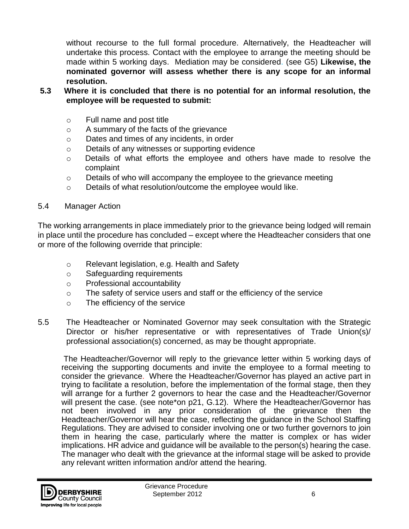without recourse to the full formal procedure. Alternatively, the Headteacher will undertake this process. Contact with the employee to arrange the meeting should be made within 5 working days.Mediation may be considered. (see G5) **Likewise, the nominated governor will assess whether there is any scope for an informal resolution.** 

- **5.3 Where it is concluded that there is no potential for an informal resolution, the employee will be requested to submit:**
	- o Full name and post title
	- o A summary of the facts of the grievance
	- o Dates and times of any incidents, in order
	- o Details of any witnesses or supporting evidence
	- o Details of what efforts the employee and others have made to resolve the complaint
	- $\circ$  Details of who will accompany the employee to the grievance meeting
	- o Details of what resolution/outcome the employee would like.
- 5.4 Manager Action

The working arrangements in place immediately prior to the grievance being lodged will remain in place until the procedure has concluded – except where the Headteacher considers that one or more of the following override that principle:

- o Relevant legislation, e.g. Health and Safety
- o Safeguarding requirements
- o Professional accountability
- $\circ$  The safety of service users and staff or the efficiency of the service
- o The efficiency of the service
- 5.5 The Headteacher or Nominated Governor may seek consultation with the Strategic Director or his/her representative or with representatives of Trade Union(s)/ professional association(s) concerned, as may be thought appropriate.

The Headteacher/Governor will reply to the grievance letter within 5 working days of receiving the supporting documents and invite the employee to a formal meeting to consider the grievance.Where the Headteacher/Governor has played an active part in trying to facilitate a resolution, before the implementation of the formal stage, then they will arrange for a further 2 governors to hear the case and the Headteacher/Governor will present the case. (see note\*on p21, G.12). Where the Headteacher/Governor has not been involved in any prior consideration of the grievance then the Headteacher/Governor will hear the case, reflecting the guidance in the School Staffing Regulations. They are advised to consider involving one or two further governors to join them in hearing the case, particularly where the matter is complex or has wider implications. HR advice and guidance will be available to the person(s) hearing the case. The manager who dealt with the grievance at the informal stage will be asked to provide any relevant written information and/or attend the hearing.

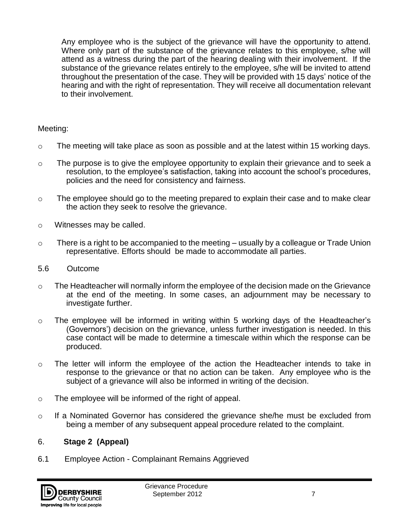Any employee who is the subject of the grievance will have the opportunity to attend. Where only part of the substance of the grievance relates to this employee, s/he will attend as a witness during the part of the hearing dealing with their involvement. If the substance of the grievance relates entirely to the employee, s/he will be invited to attend throughout the presentation of the case. They will be provided with 15 days' notice of the hearing and with the right of representation. They will receive all documentation relevant to their involvement.

#### Meeting:

- $\circ$  The meeting will take place as soon as possible and at the latest within 15 working days.
- $\circ$  The purpose is to give the employee opportunity to explain their grievance and to seek a resolution, to the employee's satisfaction, taking into account the school's procedures, policies and the need for consistency and fairness.
- o The employee should go to the meeting prepared to explain their case and to make clear the action they seek to resolve the grievance.
- o Witnesses may be called.
- $\circ$  There is a right to be accompanied to the meeting usually by a colleague or Trade Union representative. Efforts should be made to accommodate all parties.
- 5.6 Outcome
- o The Headteacher will normally inform the employee of the decision made on the Grievance at the end of the meeting. In some cases, an adjournment may be necessary to investigate further.
- o The employee will be informed in writing within 5 working days of the Headteacher's (Governors') decision on the grievance, unless further investigation is needed. In this case contact will be made to determine a timescale within which the response can be produced.
- o The letter will inform the employee of the action the Headteacher intends to take in response to the grievance or that no action can be taken. Any employee who is the subject of a grievance will also be informed in writing of the decision.
- o The employee will be informed of the right of appeal.
- $\circ$  If a Nominated Governor has considered the grievance she/he must be excluded from being a member of any subsequent appeal procedure related to the complaint.

#### 6. **Stage 2 (Appeal)**

6.1 Employee Action - Complainant Remains Aggrieved

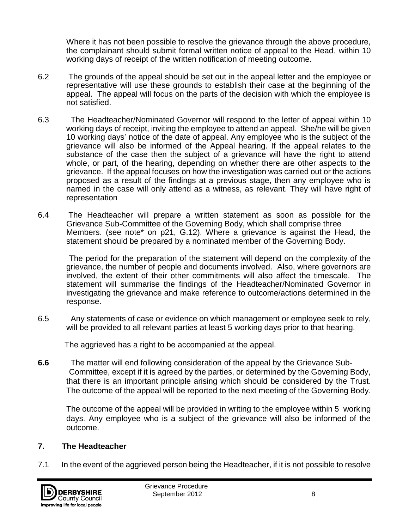Where it has not been possible to resolve the grievance through the above procedure, the complainant should submit formal written notice of appeal to the Head, within 10 working days of receipt of the written notification of meeting outcome.

- 6.2 The grounds of the appeal should be set out in the appeal letter and the employee or representative will use these grounds to establish their case at the beginning of the appeal. The appeal will focus on the parts of the decision with which the employee is not satisfied.
- 6.3 The Headteacher/Nominated Governor will respond to the letter of appeal within 10 working days of receipt, inviting the employee to attend an appeal. She/he will be given 10 working days' notice of the date of appeal. Any employee who is the subject of the grievance will also be informed of the Appeal hearing. If the appeal relates to the substance of the case then the subject of a grievance will have the right to attend whole, or part, of the hearing, depending on whether there are other aspects to the grievance. If the appeal focuses on how the investigation was carried out or the actions proposed as a result of the findings at a previous stage, then any employee who is named in the case will only attend as a witness, as relevant. They will have right of representation
- 6.4 The Headteacher will prepare a written statement as soon as possible for the Grievance Sub-Committee of the Governing Body, which shall comprise three Members. (see note\* on p21, G.12). Where a grievance is against the Head, the statement should be prepared by a nominated member of the Governing Body.

 The period for the preparation of the statement will depend on the complexity of the grievance, the number of people and documents involved. Also, where governors are involved, the extent of their other commitments will also affect the timescale. The statement will summarise the findings of the Headteacher/Nominated Governor in investigating the grievance and make reference to outcome/actions determined in the response.

6.5 Any statements of case or evidence on which management or employee seek to rely, will be provided to all relevant parties at least 5 working days prior to that hearing.

The aggrieved has a right to be accompanied at the appeal.

**6.6** The matter will end following consideration of the appeal by the Grievance Sub- Committee, except if it is agreed by the parties, or determined by the Governing Body, that there is an important principle arising which should be considered by the Trust. The outcome of the appeal will be reported to the next meeting of the Governing Body.

The outcome of the appeal will be provided in writing to the employee within 5 working days. Any employee who is a subject of the grievance will also be informed of the outcome.

#### **7. The Headteacher**

7.1 In the event of the aggrieved person being the Headteacher, if it is not possible to resolve

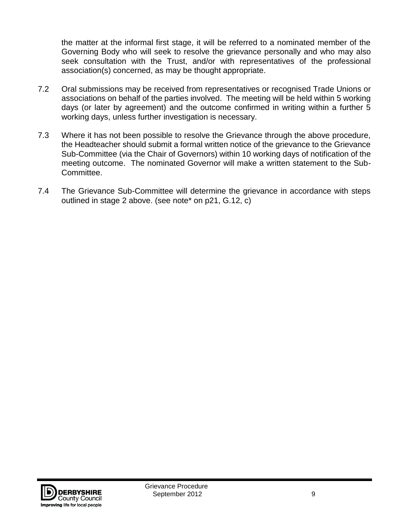the matter at the informal first stage, it will be referred to a nominated member of the Governing Body who will seek to resolve the grievance personally and who may also seek consultation with the Trust, and/or with representatives of the professional association(s) concerned, as may be thought appropriate.

- 7.2 Oral submissions may be received from representatives or recognised Trade Unions or associations on behalf of the parties involved. The meeting will be held within 5 working days (or later by agreement) and the outcome confirmed in writing within a further 5 working days, unless further investigation is necessary.
- 7.3 Where it has not been possible to resolve the Grievance through the above procedure, the Headteacher should submit a formal written notice of the grievance to the Grievance Sub-Committee (via the Chair of Governors) within 10 working days of notification of the meeting outcome. The nominated Governor will make a written statement to the Sub-Committee.
- 7.4 The Grievance Sub-Committee will determine the grievance in accordance with steps outlined in stage 2 above. (see note\* on p21, G.12, c)

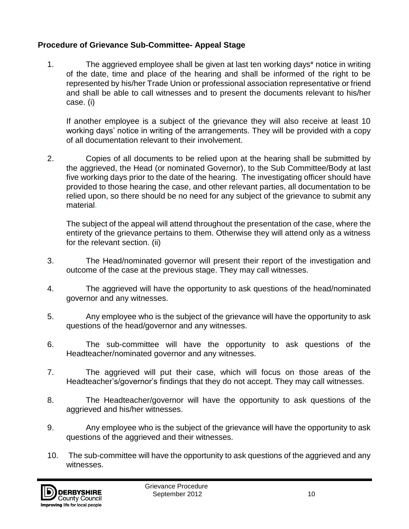#### **Procedure of Grievance Sub-Committee- Appeal Stage**

1. The aggrieved employee shall be given at last ten working days\* notice in writing of the date, time and place of the hearing and shall be informed of the right to be represented by his/her Trade Union or professional association representative or friend and shall be able to call witnesses and to present the documents relevant to his/her case. (i)

If another employee is a subject of the grievance they will also receive at least 10 working days' notice in writing of the arrangements. They will be provided with a copy of all documentation relevant to their involvement.

2. Copies of all documents to be relied upon at the hearing shall be submitted by the aggrieved, the Head (or nominated Governor), to the Sub Committee/Body at last five working days prior to the date of the hearing. The investigating officer should have provided to those hearing the case, and other relevant parties, all documentation to be relied upon, so there should be no need for any subject of the grievance to submit any material.

The subject of the appeal will attend throughout the presentation of the case, where the entirety of the grievance pertains to them. Otherwise they will attend only as a witness for the relevant section. (ii)

- 3. The Head/nominated governor will present their report of the investigation and outcome of the case at the previous stage. They may call witnesses.
- 4. The aggrieved will have the opportunity to ask questions of the head/nominated governor and any witnesses.
- 5. Any employee who is the subject of the grievance will have the opportunity to ask questions of the head/governor and any witnesses.
- 6. The sub-committee will have the opportunity to ask questions of the Headteacher/nominated governor and any witnesses.
- 7. The aggrieved will put their case, which will focus on those areas of the Headteacher's/governor's findings that they do not accept. They may call witnesses.
- 8. The Headteacher/governor will have the opportunity to ask questions of the aggrieved and his/her witnesses.
- 9. Any employee who is the subject of the grievance will have the opportunity to ask questions of the aggrieved and their witnesses.
- 10. The sub-committee will have the opportunity to ask questions of the aggrieved and any witnesses.

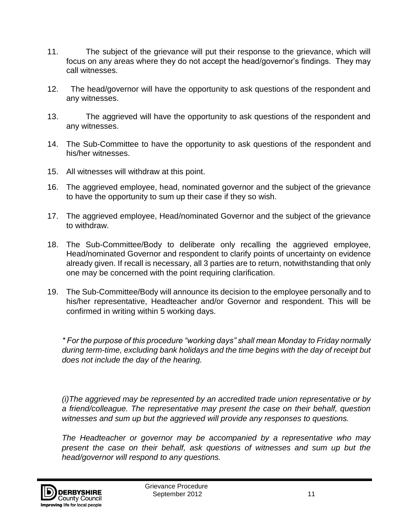- 11. The subject of the grievance will put their response to the grievance, which will focus on any areas where they do not accept the head/governor's findings. They may call witnesses.
- 12. The head/governor will have the opportunity to ask questions of the respondent and any witnesses.
- 13. The aggrieved will have the opportunity to ask questions of the respondent and any witnesses.
- 14. The Sub-Committee to have the opportunity to ask questions of the respondent and his/her witnesses.
- 15. All witnesses will withdraw at this point.
- 16. The aggrieved employee, head, nominated governor and the subject of the grievance to have the opportunity to sum up their case if they so wish.
- 17. The aggrieved employee, Head/nominated Governor and the subject of the grievance to withdraw.
- 18. The Sub-Committee/Body to deliberate only recalling the aggrieved employee, Head/nominated Governor and respondent to clarify points of uncertainty on evidence already given. If recall is necessary, all 3 parties are to return, notwithstanding that only one may be concerned with the point requiring clarification.
- 19. The Sub-Committee/Body will announce its decision to the employee personally and to his/her representative, Headteacher and/or Governor and respondent. This will be confirmed in writing within 5 working days.

*\* For the purpose of this procedure "working days" shall mean Monday to Friday normally during term-time, excluding bank holidays and the time begins with the day of receipt but does not include the day of the hearing.* 

*(i)The aggrieved may be represented by an accredited trade union representative or by a friend/colleague. The representative may present the case on their behalf, question witnesses and sum up but the aggrieved will provide any responses to questions.*

*The Headteacher or governor may be accompanied by a representative who may present the case on their behalf, ask questions of witnesses and sum up but the head/governor will respond to any questions.* 

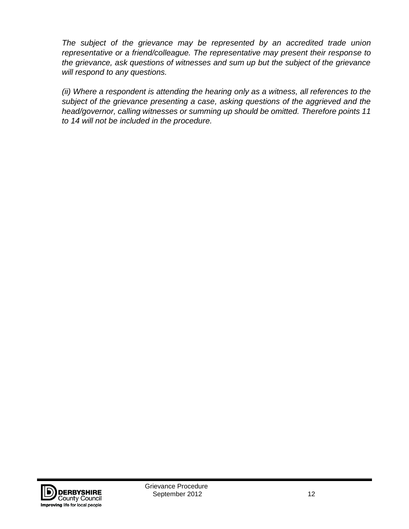*The subject of the grievance may be represented by an accredited trade union representative or a friend/colleague. The representative may present their response to the grievance, ask questions of witnesses and sum up but the subject of the grievance will respond to any questions.*

*(ii) Where a respondent is attending the hearing only as a witness, all references to the subject of the grievance presenting a case, asking questions of the aggrieved and the head/governor, calling witnesses or summing up should be omitted. Therefore points 11 to 14 will not be included in the procedure.*

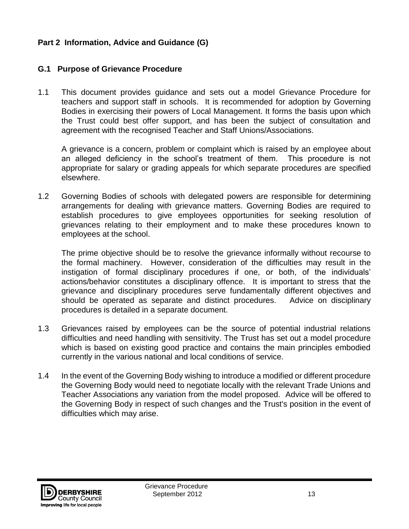#### **Part 2 Information, Advice and Guidance (G)**

#### **G.1 Purpose of Grievance Procedure**

1.1 This document provides guidance and sets out a model Grievance Procedure for teachers and support staff in schools. It is recommended for adoption by Governing Bodies in exercising their powers of Local Management. It forms the basis upon which the Trust could best offer support, and has been the subject of consultation and agreement with the recognised Teacher and Staff Unions/Associations.

A grievance is a concern, problem or complaint which is raised by an employee about an alleged deficiency in the school's treatment of them. This procedure is not appropriate for salary or grading appeals for which separate procedures are specified elsewhere.

1.2 Governing Bodies of schools with delegated powers are responsible for determining arrangements for dealing with grievance matters. Governing Bodies are required to establish procedures to give employees opportunities for seeking resolution of grievances relating to their employment and to make these procedures known to employees at the school.

The prime objective should be to resolve the grievance informally without recourse to the formal machinery. However, consideration of the difficulties may result in the instigation of formal disciplinary procedures if one, or both, of the individuals' actions/behavior constitutes a disciplinary offence. It is important to stress that the grievance and disciplinary procedures serve fundamentally different objectives and should be operated as separate and distinct procedures. Advice on disciplinary procedures is detailed in a separate document.

- 1.3 Grievances raised by employees can be the source of potential industrial relations difficulties and need handling with sensitivity. The Trust has set out a model procedure which is based on existing good practice and contains the main principles embodied currently in the various national and local conditions of service.
- 1.4 In the event of the Governing Body wishing to introduce a modified or different procedure the Governing Body would need to negotiate locally with the relevant Trade Unions and Teacher Associations any variation from the model proposed. Advice will be offered to the Governing Body in respect of such changes and the Trust's position in the event of difficulties which may arise.

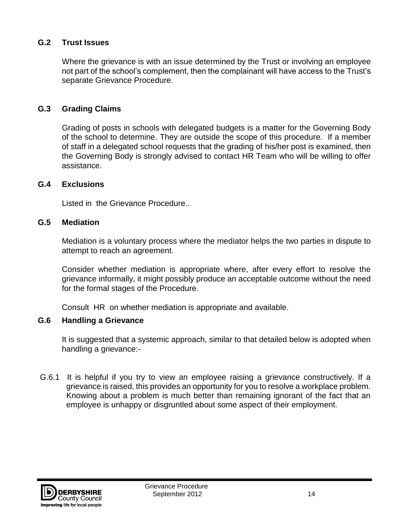#### **G.2 Trust Issues**

Where the grievance is with an issue determined by the Trust or involving an employee not part of the school's complement, then the complainant will have access to the Trust's separate Grievance Procedure.

#### **G.3 Grading Claims**

Grading of posts in schools with delegated budgets is a matter for the Governing Body of the school to determine. They are outside the scope of this procedure. If a member of staff in a delegated school requests that the grading of his/her post is examined, then the Governing Body is strongly advised to contact HR Team who will be willing to offer assistance.

#### **G.4 Exclusions**

Listed in the Grievance Procedure..

#### **G.5 Mediation**

Mediation is a voluntary process where the mediator helps the two parties in dispute to attempt to reach an agreement.

Consider whether mediation is appropriate where, after every effort to resolve the grievance informally, it might possibly produce an acceptable outcome without the need for the formal stages of the Procedure.

Consult HR on whether mediation is appropriate and available.

#### **G.6 Handling a Grievance**

It is suggested that a systemic approach, similar to that detailed below is adopted when handling a grievance:-

G.6.1 It is helpful if you try to view an employee raising a grievance constructively. If a grievance is raised, this provides an opportunity for you to resolve a workplace problem. Knowing about a problem is much better than remaining ignorant of the fact that an employee is unhappy or disgruntled about some aspect of their employment.

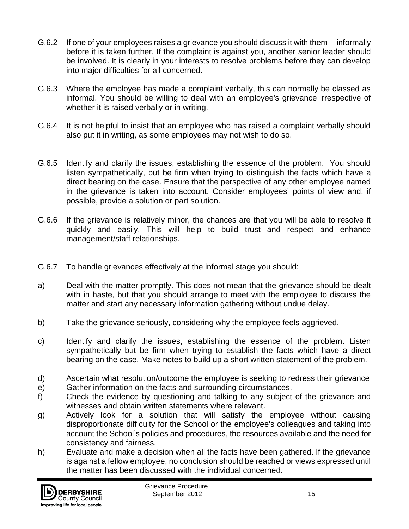- G.6.2 If one of your employees raises a grievance you should discuss it with them informally before it is taken further. If the complaint is against you, another senior leader should be involved. It is clearly in your interests to resolve problems before they can develop into major difficulties for all concerned.
- G.6.3 Where the employee has made a complaint verbally, this can normally be classed as informal. You should be willing to deal with an employee's grievance irrespective of whether it is raised verbally or in writing.
- G.6.4 It is not helpful to insist that an employee who has raised a complaint verbally should also put it in writing, as some employees may not wish to do so.
- G.6.5 Identify and clarify the issues, establishing the essence of the problem. You should listen sympathetically, but be firm when trying to distinguish the facts which have a direct bearing on the case. Ensure that the perspective of any other employee named in the grievance is taken into account. Consider employees' points of view and, if possible, provide a solution or part solution.
- G.6.6 If the grievance is relatively minor, the chances are that you will be able to resolve it quickly and easily. This will help to build trust and respect and enhance management/staff relationships.
- G.6.7 To handle grievances effectively at the informal stage you should:
- a) Deal with the matter promptly. This does not mean that the grievance should be dealt with in haste, but that you should arrange to meet with the employee to discuss the matter and start any necessary information gathering without undue delay.
- b) Take the grievance seriously, considering why the employee feels aggrieved.
- c) Identify and clarify the issues, establishing the essence of the problem. Listen sympathetically but be firm when trying to establish the facts which have a direct bearing on the case. Make notes to build up a short written statement of the problem.
- d) Ascertain what resolution/outcome the employee is seeking to redress their grievance
- e) Gather information on the facts and surrounding circumstances.
- f) Check the evidence by questioning and talking to any subject of the grievance and witnesses and obtain written statements where relevant.
- g) Actively look for a solution that will satisfy the employee without causing disproportionate difficulty for the School or the employee's colleagues and taking into account the School's policies and procedures, the resources available and the need for consistency and fairness.
- h) Evaluate and make a decision when all the facts have been gathered. If the grievance is against a fellow employee, no conclusion should be reached or views expressed until the matter has been discussed with the individual concerned.

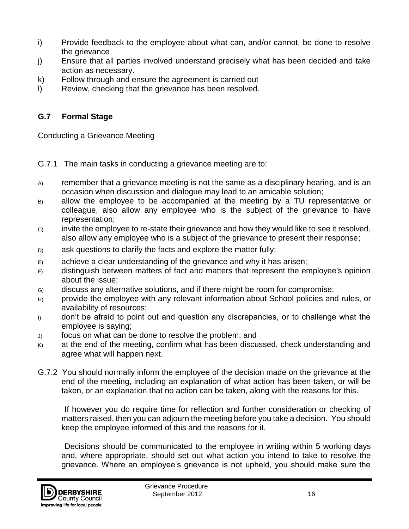- i) Provide feedback to the employee about what can, and/or cannot, be done to resolve the grievance
- j) Ensure that all parties involved understand precisely what has been decided and take action as necessary.
- k) Follow through and ensure the agreement is carried out
- l) Review, checking that the grievance has been resolved.

#### **G.7 Formal Stage**

Conducting a Grievance Meeting

- G.7.1 The main tasks in conducting a grievance meeting are to:
- A) remember that a grievance meeting is not the same as a disciplinary hearing, and is an occasion when discussion and dialogue may lead to an amicable solution;
- B) allow the employee to be accompanied at the meeting by a TU representative or colleague, also allow any employee who is the subject of the grievance to have representation;
- C) invite the employee to re-state their grievance and how they would like to see it resolved, also allow any employee who is a subject of the grievance to present their response;
- D) ask questions to clarify the facts and explore the matter fully;
- $E$  achieve a clear understanding of the grievance and why it has arisen;
- F) distinguish between matters of fact and matters that represent the employee's opinion about the issue;
- G) discuss any alternative solutions, and if there might be room for compromise;
- H) provide the employee with any relevant information about School policies and rules, or availability of resources;
- I) don't be afraid to point out and question any discrepancies, or to challenge what the employee is saying;
- J) focus on what can be done to resolve the problem; and
- $K$  at the end of the meeting, confirm what has been discussed, check understanding and agree what will happen next.
- G.7.2 You should normally inform the employee of the decision made on the grievance at the end of the meeting, including an explanation of what action has been taken, or will be taken, or an explanation that no action can be taken, along with the reasons for this.

 If however you do require time for reflection and further consideration or checking of matters raised, then you can adjourn the meeting before you take a decision. You should keep the employee informed of this and the reasons for it.

 Decisions should be communicated to the employee in writing within 5 working days and, where appropriate, should set out what action you intend to take to resolve the grievance. Where an employee's grievance is not upheld, you should make sure the

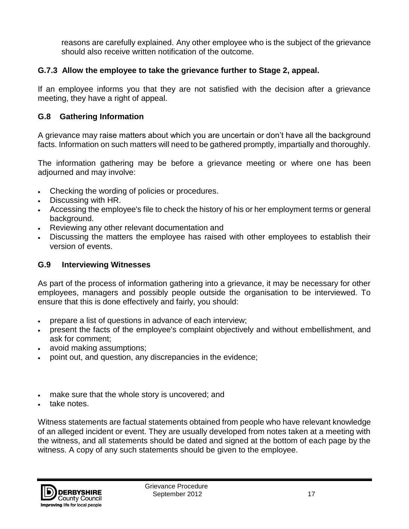reasons are carefully explained. Any other employee who is the subject of the grievance should also receive written notification of the outcome.

#### **G.7.3 Allow the employee to take the grievance further to Stage 2, appeal.**

If an employee informs you that they are not satisfied with the decision after a grievance meeting, they have a right of appeal.

#### **G.8 Gathering Information**

A grievance may raise matters about which you are uncertain or don't have all the background facts. Information on such matters will need to be gathered promptly, impartially and thoroughly.

The information gathering may be before a grievance meeting or where one has been adjourned and may involve:

- Checking the wording of policies or procedures.
- Discussing with HR.
- Accessing the employee's file to check the history of his or her employment terms or general background.
- Reviewing any other relevant documentation and
- Discussing the matters the employee has raised with other employees to establish their version of events.

#### **G.9 Interviewing Witnesses**

As part of the process of information gathering into a grievance, it may be necessary for other employees, managers and possibly people outside the organisation to be interviewed. To ensure that this is done effectively and fairly, you should:

- prepare a list of questions in advance of each interview;
- present the facts of the employee's complaint objectively and without embellishment, and ask for comment;
- avoid making assumptions;
- point out, and question, any discrepancies in the evidence;
- make sure that the whole story is uncovered; and
- take notes.

Witness statements are factual statements obtained from people who have relevant knowledge of an alleged incident or event. They are usually developed from notes taken at a meeting with the witness, and all statements should be dated and signed at the bottom of each page by the witness. A copy of any such statements should be given to the employee.

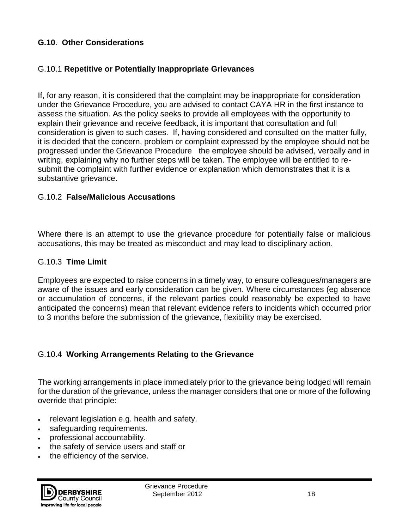#### **G.10**. **Other Considerations**

#### G.10.1 **Repetitive or Potentially Inappropriate Grievances**

If, for any reason, it is considered that the complaint may be inappropriate for consideration under the Grievance Procedure, you are advised to contact CAYA HR in the first instance to assess the situation. As the policy seeks to provide all employees with the opportunity to explain their grievance and receive feedback, it is important that consultation and full consideration is given to such cases. If, having considered and consulted on the matter fully, it is decided that the concern, problem or complaint expressed by the employee should not be progressed under the Grievance Procedure the employee should be advised, verbally and in writing, explaining why no further steps will be taken. The employee will be entitled to resubmit the complaint with further evidence or explanation which demonstrates that it is a substantive grievance.

#### G.10.2 **False/Malicious Accusations**

Where there is an attempt to use the grievance procedure for potentially false or malicious accusations, this may be treated as misconduct and may lead to disciplinary action.

#### G.10.3 **Time Limit**

Employees are expected to raise concerns in a timely way, to ensure colleagues/managers are aware of the issues and early consideration can be given. Where circumstances (eg absence or accumulation of concerns, if the relevant parties could reasonably be expected to have anticipated the concerns) mean that relevant evidence refers to incidents which occurred prior to 3 months before the submission of the grievance, flexibility may be exercised.

#### G.10.4 **Working Arrangements Relating to the Grievance**

The working arrangements in place immediately prior to the grievance being lodged will remain for the duration of the grievance, unless the manager considers that one or more of the following override that principle:

- relevant legislation e.g. health and safety.
- safeguarding requirements.
- professional accountability.
- the safety of service users and staff or
- the efficiency of the service.

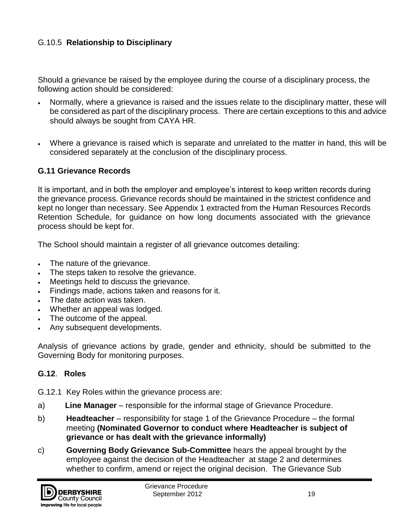#### G.10.5 **Relationship to Disciplinary**

Should a grievance be raised by the employee during the course of a disciplinary process, the following action should be considered:

- Normally, where a grievance is raised and the issues relate to the disciplinary matter, these will be considered as part of the disciplinary process. There are certain exceptions to this and advice should always be sought from CAYA HR.
- Where a grievance is raised which is separate and unrelated to the matter in hand, this will be considered separately at the conclusion of the disciplinary process.

#### **G.11 Grievance Records**

It is important, and in both the employer and employee's interest to keep written records during the grievance process. Grievance records should be maintained in the strictest confidence and kept no longer than necessary. See Appendix 1 extracted from the Human Resources Records Retention Schedule, for guidance on how long documents associated with the grievance process should be kept for.

The School should maintain a register of all grievance outcomes detailing:

- The nature of the grievance.
- The steps taken to resolve the grievance.
- Meetings held to discuss the grievance.
- Findings made, actions taken and reasons for it.
- The date action was taken.
- Whether an appeal was lodged.
- The outcome of the appeal.
- Any subsequent developments.

Analysis of grievance actions by grade, gender and ethnicity, should be submitted to the Governing Body for monitoring purposes.

#### **G.12**. **Roles**

G.12.1 Key Roles within the grievance process are:

- a) **Line Manager** responsible for the informal stage of Grievance Procedure.
- b) **Headteacher** responsibility for stage 1 of the Grievance Procedure the formal meeting **(Nominated Governor to conduct where Headteacher is subject of grievance or has dealt with the grievance informally)**
- c) **Governing Body Grievance Sub-Committee** hears the appeal brought by the employee against the decision of the Headteacher at stage 2 and determines whether to confirm, amend or reject the original decision. The Grievance Sub

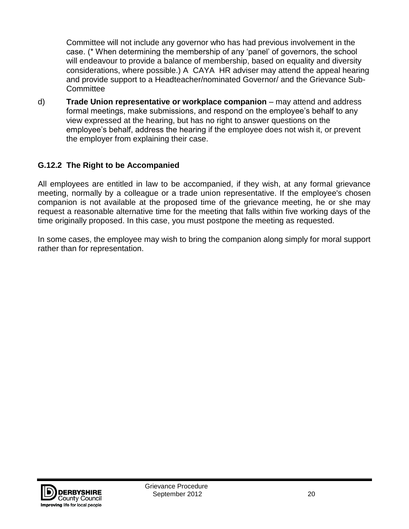Committee will not include any governor who has had previous involvement in the case. (\* When determining the membership of any 'panel' of governors, the school will endeavour to provide a balance of membership, based on equality and diversity considerations, where possible.) A CAYA HR adviser may attend the appeal hearing and provide support to a Headteacher/nominated Governor/ and the Grievance Sub-**Committee** 

d) **Trade Union representative or workplace companion** – may attend and address formal meetings, make submissions, and respond on the employee's behalf to any view expressed at the hearing, but has no right to answer questions on the employee's behalf, address the hearing if the employee does not wish it, or prevent the employer from explaining their case.

#### **G.12.2 The Right to be Accompanied**

All employees are entitled in law to be accompanied, if they wish, at any formal grievance meeting, normally by a colleague or a trade union representative. If the employee's chosen companion is not available at the proposed time of the grievance meeting, he or she may request a reasonable alternative time for the meeting that falls within five working days of the time originally proposed. In this case, you must postpone the meeting as requested.

In some cases, the employee may wish to bring the companion along simply for moral support rather than for representation.

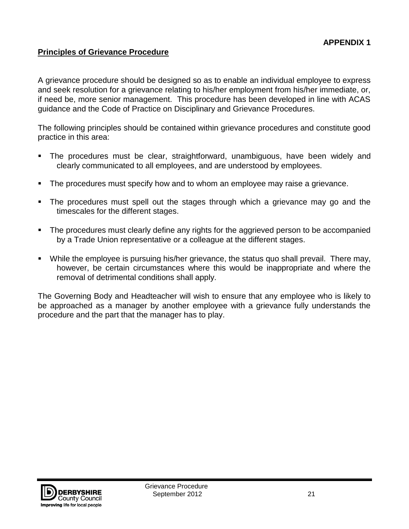#### **Principles of Grievance Procedure**

A grievance procedure should be designed so as to enable an individual employee to express and seek resolution for a grievance relating to his/her employment from his/her immediate, or, if need be, more senior management. This procedure has been developed in line with ACAS guidance and the Code of Practice on Disciplinary and Grievance Procedures.

The following principles should be contained within grievance procedures and constitute good practice in this area:

- The procedures must be clear, straightforward, unambiguous, have been widely and clearly communicated to all employees, and are understood by employees.
- The procedures must specify how and to whom an employee may raise a grievance.
- The procedures must spell out the stages through which a grievance may go and the timescales for the different stages.
- The procedures must clearly define any rights for the aggrieved person to be accompanied by a Trade Union representative or a colleague at the different stages.
- While the employee is pursuing his/her grievance, the status quo shall prevail. There may, however, be certain circumstances where this would be inappropriate and where the removal of detrimental conditions shall apply.

The Governing Body and Headteacher will wish to ensure that any employee who is likely to be approached as a manager by another employee with a grievance fully understands the procedure and the part that the manager has to play.

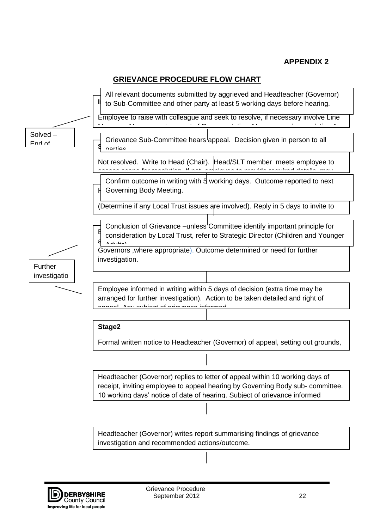